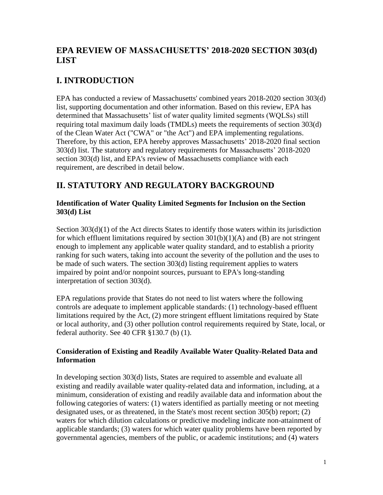# **EPA REVIEW OF MASSACHUSETTS' 2018-2020 SECTION 303(d) LIST**

# **I. INTRODUCTION**

EPA has conducted a review of Massachusetts' combined years 2018-2020 section 303(d) list, supporting documentation and other information. Based on this review, EPA has determined that Massachusetts' list of water quality limited segments (WQLSs) still requiring total maximum daily loads (TMDLs) meets the requirements of section 303(d) of the Clean Water Act ("CWA" or "the Act") and EPA implementing regulations. Therefore, by this action, EPA hereby approves Massachusetts' 2018-2020 final section 303(d) list. The statutory and regulatory requirements for Massachusetts' 2018-2020 section 303(d) list, and EPA's review of Massachusetts compliance with each requirement, are described in detail below.

# **II. STATUTORY AND REGULATORY BACKGROUND**

### **Identification of Water Quality Limited Segments for Inclusion on the Section 303(d) List**

Section 303(d)(1) of the Act directs States to identify those waters within its jurisdiction for which effluent limitations required by section  $301(b)(1)(A)$  and (B) are not stringent enough to implement any applicable water quality standard, and to establish a priority ranking for such waters, taking into account the severity of the pollution and the uses to be made of such waters. The section 303(d) listing requirement applies to waters impaired by point and/or nonpoint sources, pursuant to EPA's long-standing interpretation of section 303(d).

EPA regulations provide that States do not need to list waters where the following controls are adequate to implement applicable standards: (1) technology-based effluent limitations required by the Act, (2) more stringent effluent limitations required by State or local authority, and (3) other pollution control requirements required by State, local, or federal authority. See 40 CFR §130.7 (b) (1).

### **Consideration of Existing and Readily Available Water Quality-Related Data and Information**

In developing section 303(d) lists, States are required to assemble and evaluate all existing and readily available water quality-related data and information, including, at a minimum, consideration of existing and readily available data and information about the following categories of waters: (1) waters identified as partially meeting or not meeting designated uses, or as threatened, in the State's most recent section 305(b) report; (2) waters for which dilution calculations or predictive modeling indicate non-attainment of applicable standards; (3) waters for which water quality problems have been reported by governmental agencies, members of the public, or academic institutions; and (4) waters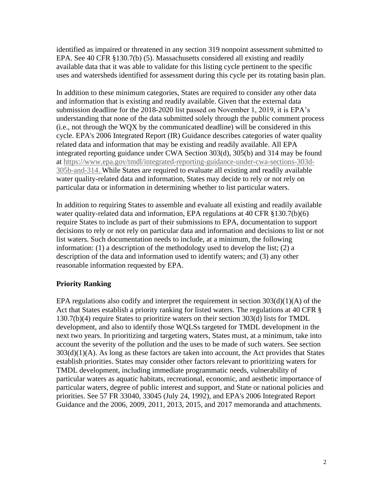identified as impaired or threatened in any section 319 nonpoint assessment submitted to EPA. See 40 CFR §130.7(b) (5). Massachusetts considered all existing and readily available data that it was able to validate for this listing cycle pertinent to the specific uses and watersheds identified for assessment during this cycle per its rotating basin plan.

In addition to these minimum categories, States are required to consider any other data and information that is existing and readily available. Given that the external data submission deadline for the 2018-2020 list passed on November 1, 2019, it is EPA's understanding that none of the data submitted solely through the public comment process (i.e., not through the WQX by the communicated deadline) will be considered in this cycle. EPA's 2006 Integrated Report (IR) Guidance describes categories of water quality related data and information that may be existing and readily available. All EPA integrated reporting guidance under CWA Section 303(d), 305(b) and 314 may be found at [https://www.epa.gov/tmdl/integrated-reporting-guidance-under-cwa-sections-303d-](https://www.epa.gov/tmdl/integrated-reporting-guidance-under-cwa-sections-303d-305b-and-314)[305b-and-314.](https://www.epa.gov/tmdl/integrated-reporting-guidance-under-cwa-sections-303d-305b-and-314) While States are required to evaluate all existing and readily available water quality-related data and information, States may decide to rely or not rely on particular data or information in determining whether to list particular waters.

In addition to requiring States to assemble and evaluate all existing and readily available water quality-related data and information, EPA regulations at 40 CFR §130.7(b)(6) require States to include as part of their submissions to EPA, documentation to support decisions to rely or not rely on particular data and information and decisions to list or not list waters. Such documentation needs to include, at a minimum, the following information: (1) a description of the methodology used to develop the list; (2) a description of the data and information used to identify waters; and (3) any other reasonable information requested by EPA.

#### **Priority Ranking**

EPA regulations also codify and interpret the requirement in section  $303(d)(1)(A)$  of the Act that States establish a priority ranking for listed waters. The regulations at 40 CFR § 130.7(b)(4) require States to prioritize waters on their section 303(d) lists for TMDL development, and also to identify those WQLSs targeted for TMDL development in the next two years. In prioritizing and targeting waters, States must, at a minimum, take into account the severity of the pollution and the uses to be made of such waters. See section  $303(d)(1)(A)$ . As long as these factors are taken into account, the Act provides that States establish priorities. States may consider other factors relevant to prioritizing waters for TMDL development, including immediate programmatic needs, vulnerability of particular waters as aquatic habitats, recreational, economic, and aesthetic importance of particular waters, degree of public interest and support, and State or national policies and priorities. See 57 FR 33040, 33045 (July 24, 1992), and EPA's 2006 Integrated Report Guidance and the 2006, 2009, 2011, 2013, 2015, and 2017 memoranda and attachments.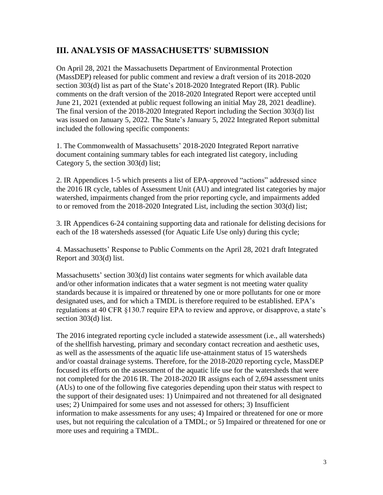# **III. ANALYSIS OF MASSACHUSETTS' SUBMISSION**

On April 28, 2021 the Massachusetts Department of Environmental Protection (MassDEP) released for public comment and review a draft version of its 2018-2020 section 303(d) list as part of the State's 2018-2020 Integrated Report (IR). Public comments on the draft version of the 2018-2020 Integrated Report were accepted until June 21, 2021 (extended at public request following an initial May 28, 2021 deadline). The final version of the 2018-2020 Integrated Report including the Section 303(d) list was issued on January 5, 2022. The State's January 5, 2022 Integrated Report submittal included the following specific components:

1. The Commonwealth of Massachusetts' 2018-2020 Integrated Report narrative document containing summary tables for each integrated list category, including Category 5, the section 303(d) list;

2. IR Appendices 1-5 which presents a list of EPA-approved "actions" addressed since the 2016 IR cycle, tables of Assessment Unit (AU) and integrated list categories by major watershed, impairments changed from the prior reporting cycle, and impairments added to or removed from the 2018-2020 Integrated List, including the section 303(d) list;

3. IR Appendices 6-24 containing supporting data and rationale for delisting decisions for each of the 18 watersheds assessed (for Aquatic Life Use only) during this cycle;

4. Massachusetts' Response to Public Comments on the April 28, 2021 draft Integrated Report and 303(d) list.

Massachusetts' section 303(d) list contains water segments for which available data and/or other information indicates that a water segment is not meeting water quality standards because it is impaired or threatened by one or more pollutants for one or more designated uses, and for which a TMDL is therefore required to be established. EPA's regulations at 40 CFR §130.7 require EPA to review and approve, or disapprove, a state's section 303(d) list.

The 2016 integrated reporting cycle included a statewide assessment (i.e., all watersheds) of the shellfish harvesting, primary and secondary contact recreation and aesthetic uses, as well as the assessments of the aquatic life use-attainment status of 15 watersheds and/or coastal drainage systems. Therefore, for the 2018-2020 reporting cycle, MassDEP focused its efforts on the assessment of the aquatic life use for the watersheds that were not completed for the 2016 IR. The 2018-2020 IR assigns each of 2,694 assessment units (AUs) to one of the following five categories depending upon their status with respect to the support of their designated uses: 1) Unimpaired and not threatened for all designated uses; 2) Unimpaired for some uses and not assessed for others; 3) Insufficient information to make assessments for any uses; 4) Impaired or threatened for one or more uses, but not requiring the calculation of a TMDL; or 5) Impaired or threatened for one or more uses and requiring a TMDL.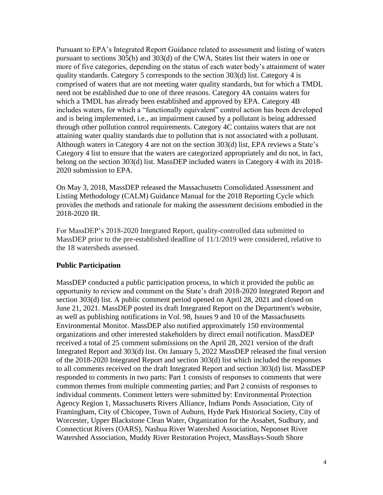Pursuant to EPA's Integrated Report Guidance related to assessment and listing of waters pursuant to sections 305(b) and 303(d) of the CWA, States list their waters in one or more of five categories, depending on the status of each water body's attainment of water quality standards. Category 5 corresponds to the section 303(d) list. Category 4 is comprised of waters that are not meeting water quality standards, but for which a TMDL need not be established due to one of three reasons. Category 4A contains waters for which a TMDL has already been established and approved by EPA. Category 4B includes waters, for which a "functionally equivalent" control action has been developed and is being implemented, i.e., an impairment caused by a pollutant is being addressed through other pollution control requirements. Category 4C contains waters that are not attaining water quality standards due to pollution that is not associated with a pollutant. Although waters in Category 4 are not on the section 303(d) list, EPA reviews a State's Category 4 list to ensure that the waters are categorized appropriately and do not, in fact, belong on the section 303(d) list. MassDEP included waters in Category 4 with its 2018- 2020 submission to EPA.

On May 3, 2018, MassDEP released the Massachusetts Consolidated Assessment and Listing Methodology (CALM) Guidance Manual for the 2018 Reporting Cycle which provides the methods and rationale for making the assessment decisions embodied in the 2018-2020 IR.

For MassDEP's 2018-2020 Integrated Report, quality-controlled data submitted to MassDEP prior to the pre-established deadline of 11/1/2019 were considered, relative to the 18 watersheds assessed.

#### **Public Participation**

MassDEP conducted a public participation process, in which it provided the public an opportunity to review and comment on the State's draft 2018-2020 Integrated Report and section 303(d) list. A public comment period opened on April 28, 2021 and closed on June 21, 2021. MassDEP posted its draft Integrated Report on the Department's website, as well as publishing notifications in Vol. 98, Issues 9 and 10 of the Massachusetts Environmental Monitor. MassDEP also notified approximately 150 environmental organizations and other interested stakeholders by direct email notification. MassDEP received a total of 25 comment submissions on the April 28, 2021 version of the draft Integrated Report and 303(d) list. On January 5, 2022 MassDEP released the final version of the 2018-2020 Integrated Report and section 303(d) list which included the responses to all comments received on the draft Integrated Report and section 303(d) list. MassDEP responded to comments in two parts: Part 1 consists of responses to comments that were common themes from multiple commenting parties; and Part 2 consists of responses to individual comments. Comment letters were submitted by: Environmental Protection Agency Region 1, Massachusetts Rivers Alliance, Indians Ponds Association, City of Framingham, City of Chicopee, Town of Auburn, Hyde Park Historical Society, City of Worcester, Upper Blackstone Clean Water, Organization for the Assabet, Sudbury, and Connecticut Rivers (OARS), Nashua River Watershed Association, Neponset River Watershed Association, Muddy River Restoration Project, MassBays-South Shore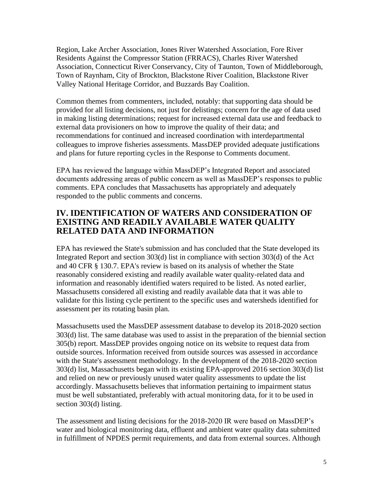Region, Lake Archer Association, Jones River Watershed Association, Fore River Residents Against the Compressor Station (FRRACS), Charles River Watershed Association, Connecticut River Conservancy, City of Taunton, Town of Middleborough, Town of Raynham, City of Brockton, Blackstone River Coalition, Blackstone River Valley National Heritage Corridor, and Buzzards Bay Coalition.

Common themes from commenters, included, notably: that supporting data should be provided for all listing decisions, not just for delistings; concern for the age of data used in making listing determinations; request for increased external data use and feedback to external data provisioners on how to improve the quality of their data; and recommendations for continued and increased coordination with interdepartmental colleagues to improve fisheries assessments. MassDEP provided adequate justifications and plans for future reporting cycles in the Response to Comments document.

EPA has reviewed the language within MassDEP's Integrated Report and associated documents addressing areas of public concern as well as MassDEP's responses to public comments. EPA concludes that Massachusetts has appropriately and adequately responded to the public comments and concerns.

## **IV. IDENTIFICATION OF WATERS AND CONSIDERATION OF EXISTING AND READILY AVAILABLE WATER QUALITY RELATED DATA AND INFORMATION**

EPA has reviewed the State's submission and has concluded that the State developed its Integrated Report and section 303(d) list in compliance with section 303(d) of the Act and 40 CFR § 130.7. EPA's review is based on its analysis of whether the State reasonably considered existing and readily available water quality-related data and information and reasonably identified waters required to be listed. As noted earlier, Massachusetts considered all existing and readily available data that it was able to validate for this listing cycle pertinent to the specific uses and watersheds identified for assessment per its rotating basin plan.

Massachusetts used the MassDEP assessment database to develop its 2018-2020 section 303(d) list. The same database was used to assist in the preparation of the biennial section 305(b) report. MassDEP provides ongoing notice on its website to request data from outside sources. Information received from outside sources was assessed in accordance with the State's assessment methodology. In the development of the 2018-2020 section 303(d) list, Massachusetts began with its existing EPA-approved 2016 section 303(d) list and relied on new or previously unused water quality assessments to update the list accordingly. Massachusetts believes that information pertaining to impairment status must be well substantiated, preferably with actual monitoring data, for it to be used in section 303(d) listing.

The assessment and listing decisions for the 2018-2020 IR were based on MassDEP's water and biological monitoring data, effluent and ambient water quality data submitted in fulfillment of NPDES permit requirements, and data from external sources. Although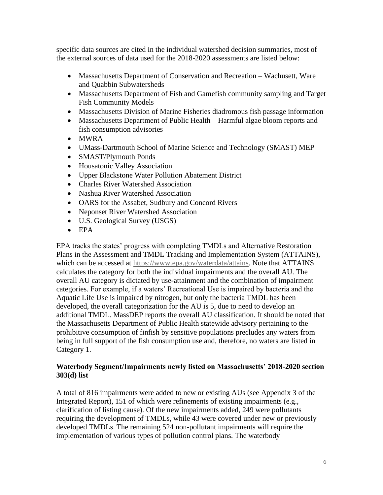specific data sources are cited in the individual watershed decision summaries, most of the external sources of data used for the 2018-2020 assessments are listed below:

- Massachusetts Department of Conservation and Recreation Wachusett, Ware and Quabbin Subwatersheds
- Massachusetts Department of Fish and Gamefish community sampling and Target Fish Community Models
- Massachusetts Division of Marine Fisheries diadromous fish passage information
- Massachusetts Department of Public Health Harmful algae bloom reports and fish consumption advisories
- MWRA
- UMass-Dartmouth School of Marine Science and Technology (SMAST) MEP
- SMAST/Plymouth Ponds
- Housatonic Valley Association
- Upper Blackstone Water Pollution Abatement District
- Charles River Watershed Association
- Nashua River Watershed Association
- OARS for the Assabet, Sudbury and Concord Rivers
- Neponset River Watershed Association
- U.S. Geological Survey (USGS)
- EPA

EPA tracks the states' progress with completing TMDLs and Alternative Restoration Plans in the Assessment and TMDL Tracking and Implementation System (ATTAINS), which can be accessed at [https://www.epa.gov/waterdata/attains.](https://www.epa.gov/waterdata/attains) Note that ATTAINS calculates the category for both the individual impairments and the overall AU. The overall AU category is dictated by use-attainment and the combination of impairment categories. For example, if a waters' Recreational Use is impaired by bacteria and the Aquatic Life Use is impaired by nitrogen, but only the bacteria TMDL has been developed, the overall categorization for the AU is 5, due to need to develop an additional TMDL. MassDEP reports the overall AU classification. It should be noted that the Massachusetts Department of Public Health statewide advisory pertaining to the prohibitive consumption of finfish by sensitive populations precludes any waters from being in full support of the fish consumption use and, therefore, no waters are listed in Category 1.

#### **Waterbody Segment/Impairments newly listed on Massachusetts' 2018-2020 section 303(d) list**

A total of 816 impairments were added to new or existing AUs (see Appendix 3 of the Integrated Report), 151 of which were refinements of existing impairments (e.g., clarification of listing cause). Of the new impairments added, 249 were pollutants requiring the development of TMDLs, while 43 were covered under new or previously developed TMDLs. The remaining 524 non-pollutant impairments will require the implementation of various types of pollution control plans. The waterbody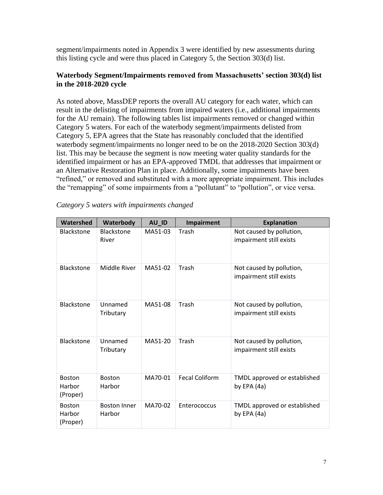segment/impairments noted in Appendix 3 were identified by new assessments during this listing cycle and were thus placed in Category 5, the Section 303(d) list.

#### **Waterbody Segment/Impairments removed from Massachusetts' section 303(d) list in the 2018-2020 cycle**

As noted above, MassDEP reports the overall AU category for each water, which can result in the delisting of impairments from impaired waters (i.e., additional impairments for the AU remain). The following tables list impairments removed or changed within Category 5 waters. For each of the waterbody segment/impairments delisted from Category 5, EPA agrees that the State has reasonably concluded that the identified waterbody segment/impairments no longer need to be on the 2018-2020 Section 303(d) list. This may be because the segment is now meeting water quality standards for the identified impairment or has an EPA-approved TMDL that addresses that impairment or an Alternative Restoration Plan in place. Additionally, some impairments have been "refined," or removed and substituted with a more appropriate impairment. This includes the "remapping" of some impairments from a "pollutant" to "pollution", or vice versa.

| Watershed                           | Waterbody                     | AU_ID   | <b>Impairment</b>     | <b>Explanation</b>                                  |
|-------------------------------------|-------------------------------|---------|-----------------------|-----------------------------------------------------|
| <b>Blackstone</b>                   | <b>Blackstone</b><br>River    | MA51-03 | Trash                 | Not caused by pollution,<br>impairment still exists |
| <b>Blackstone</b>                   | Middle River                  | MA51-02 | Trash                 | Not caused by pollution,<br>impairment still exists |
| Blackstone                          | Unnamed<br>Tributary          | MA51-08 | Trash                 | Not caused by pollution,<br>impairment still exists |
| <b>Blackstone</b>                   | Unnamed<br>Tributary          | MA51-20 | Trash                 | Not caused by pollution,<br>impairment still exists |
| <b>Boston</b><br>Harbor<br>(Proper) | <b>Boston</b><br>Harbor       | MA70-01 | <b>Fecal Coliform</b> | TMDL approved or established<br>by EPA $(4a)$       |
| <b>Boston</b><br>Harbor<br>(Proper) | <b>Boston Inner</b><br>Harbor | MA70-02 | Enterococcus          | TMDL approved or established<br>by EPA $(4a)$       |

| Category 5 waters with impairments changed |  |
|--------------------------------------------|--|
|--------------------------------------------|--|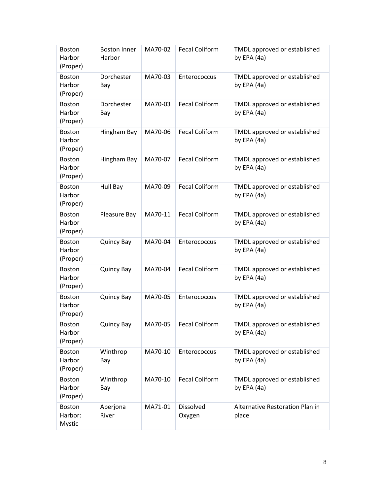| <b>Boston</b><br>Harbor<br>(Proper) | <b>Boston Inner</b><br>Harbor | MA70-02 | <b>Fecal Coliform</b> | TMDL approved or established<br>by EPA (4a)   |
|-------------------------------------|-------------------------------|---------|-----------------------|-----------------------------------------------|
| <b>Boston</b><br>Harbor<br>(Proper) | Dorchester<br>Bay             | MA70-03 | Enterococcus          | TMDL approved or established<br>by EPA $(4a)$ |
| <b>Boston</b><br>Harbor<br>(Proper) | Dorchester<br>Bay             | MA70-03 | <b>Fecal Coliform</b> | TMDL approved or established<br>by EPA (4a)   |
| <b>Boston</b><br>Harbor<br>(Proper) | Hingham Bay                   | MA70-06 | <b>Fecal Coliform</b> | TMDL approved or established<br>by EPA (4a)   |
| <b>Boston</b><br>Harbor<br>(Proper) | Hingham Bay                   | MA70-07 | <b>Fecal Coliform</b> | TMDL approved or established<br>by EPA $(4a)$ |
| <b>Boston</b><br>Harbor<br>(Proper) | Hull Bay                      | MA70-09 | <b>Fecal Coliform</b> | TMDL approved or established<br>by EPA $(4a)$ |
| <b>Boston</b><br>Harbor<br>(Proper) | Pleasure Bay                  | MA70-11 | <b>Fecal Coliform</b> | TMDL approved or established<br>by EPA $(4a)$ |
| <b>Boston</b><br>Harbor<br>(Proper) | <b>Quincy Bay</b>             | MA70-04 | Enterococcus          | TMDL approved or established<br>by EPA $(4a)$ |
| <b>Boston</b><br>Harbor<br>(Proper) | <b>Quincy Bay</b>             | MA70-04 | <b>Fecal Coliform</b> | TMDL approved or established<br>by EPA $(4a)$ |
| <b>Boston</b><br>Harbor<br>(Proper) | <b>Quincy Bay</b>             | MA70-05 | Enterococcus          | TMDL approved or established<br>by EPA $(4a)$ |
| <b>Boston</b><br>Harbor<br>(Proper) | <b>Quincy Bay</b>             | MA70-05 | <b>Fecal Coliform</b> | TMDL approved or established<br>by EPA $(4a)$ |
| Boston<br>Harbor<br>(Proper)        | Winthrop<br>Bay               | MA70-10 | Enterococcus          | TMDL approved or established<br>by EPA $(4a)$ |
| <b>Boston</b><br>Harbor<br>(Proper) | Winthrop<br>Bay               | MA70-10 | <b>Fecal Coliform</b> | TMDL approved or established<br>by EPA $(4a)$ |
| <b>Boston</b><br>Harbor:<br>Mystic  | Aberjona<br>River             | MA71-01 | Dissolved<br>Oxygen   | Alternative Restoration Plan in<br>place      |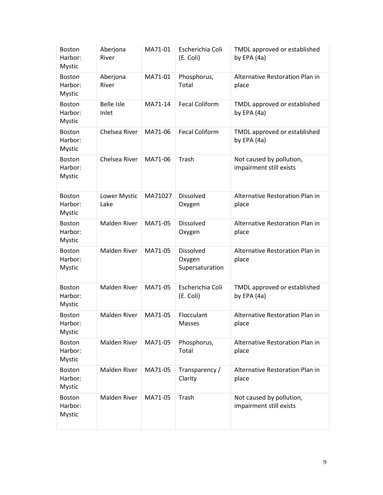| <b>Boston</b><br>Harbor:<br>Mystic        | Aberjona<br>River          | MA71-01 | Escherichia Coli<br>(E. Coli)          | TMDL approved or established<br>by EPA (4a)         |
|-------------------------------------------|----------------------------|---------|----------------------------------------|-----------------------------------------------------|
| <b>Boston</b><br>Harbor:<br><b>Mystic</b> | Aberjona<br>River          | MA71-01 | Phosphorus,<br>Total                   | Alternative Restoration Plan in<br>place            |
| <b>Boston</b><br>Harbor:<br>Mystic        | <b>Belle Isle</b><br>Inlet | MA71-14 | <b>Fecal Coliform</b>                  | TMDL approved or established<br>by EPA (4a)         |
| <b>Boston</b><br>Harbor:<br>Mystic        | Chelsea River              | MA71-06 | <b>Fecal Coliform</b>                  | TMDL approved or established<br>by EPA $(4a)$       |
| <b>Boston</b><br>Harbor:<br>Mystic        | Chelsea River              | MA71-06 | Trash                                  | Not caused by pollution,<br>impairment still exists |
| <b>Boston</b><br>Harbor:<br><b>Mystic</b> | Lower Mystic<br>Lake       | MA71027 | Dissolved<br>Oxygen                    | Alternative Restoration Plan in<br>place            |
| <b>Boston</b><br>Harbor:<br>Mystic        | <b>Malden River</b>        | MA71-05 | Dissolved<br>Oxygen                    | Alternative Restoration Plan in<br>place            |
| <b>Boston</b><br>Harbor:<br>Mystic        | <b>Malden River</b>        | MA71-05 | Dissolved<br>Oxygen<br>Supersaturation | Alternative Restoration Plan in<br>place            |
| <b>Boston</b><br>Harbor:<br>Mystic        | Malden River               | MA71-05 | Escherichia Coli<br>(E. Coli)          | TMDL approved or established<br>by EPA $(4a)$       |
| <b>Boston</b><br>Harbor:<br><b>Mystic</b> | <b>Malden River</b>        | MA71-05 | Flocculant<br>Masses                   | Alternative Restoration Plan in<br>place            |
| <b>Boston</b><br>Harbor:<br><b>Mystic</b> | Malden River               | MA71-05 | Phosphorus,<br>Total                   | Alternative Restoration Plan in<br>place            |
| <b>Boston</b><br>Harbor:<br>Mystic        | Malden River               | MA71-05 | Transparency /<br>Clarity              | Alternative Restoration Plan in<br>place            |
| <b>Boston</b><br>Harbor:<br>Mystic        | Malden River               | MA71-05 | Trash                                  | Not caused by pollution,<br>impairment still exists |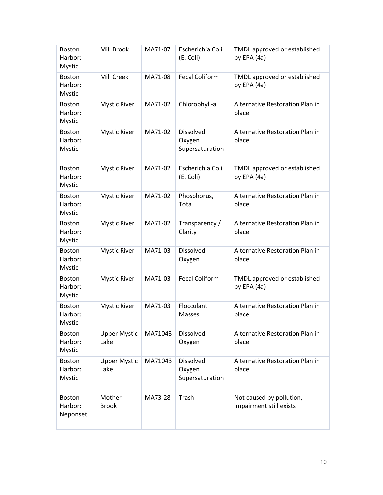| <b>Boston</b><br>Harbor:<br>Mystic        | Mill Brook                  | MA71-07 | Escherichia Coli<br>(E. Coli)          | TMDL approved or established<br>by EPA (4a)         |
|-------------------------------------------|-----------------------------|---------|----------------------------------------|-----------------------------------------------------|
| <b>Boston</b><br>Harbor:<br><b>Mystic</b> | Mill Creek                  | MA71-08 | <b>Fecal Coliform</b>                  | TMDL approved or established<br>by EPA (4a)         |
| <b>Boston</b><br>Harbor:<br>Mystic        | <b>Mystic River</b>         | MA71-02 | Chlorophyll-a                          | Alternative Restoration Plan in<br>place            |
| <b>Boston</b><br>Harbor:<br>Mystic        | <b>Mystic River</b>         | MA71-02 | Dissolved<br>Oxygen<br>Supersaturation | Alternative Restoration Plan in<br>place            |
| <b>Boston</b><br>Harbor:<br>Mystic        | <b>Mystic River</b>         | MA71-02 | Escherichia Coli<br>(E. Coli)          | TMDL approved or established<br>by EPA (4a)         |
| <b>Boston</b><br>Harbor:<br>Mystic        | <b>Mystic River</b>         | MA71-02 | Phosphorus,<br>Total                   | Alternative Restoration Plan in<br>place            |
| <b>Boston</b><br>Harbor:<br>Mystic        | <b>Mystic River</b>         | MA71-02 | Transparency /<br>Clarity              | Alternative Restoration Plan in<br>place            |
| <b>Boston</b><br>Harbor:<br>Mystic        | <b>Mystic River</b>         | MA71-03 | Dissolved<br>Oxygen                    | Alternative Restoration Plan in<br>place            |
| <b>Boston</b><br>Harbor:<br>Mystic        | <b>Mystic River</b>         | MA71-03 | <b>Fecal Coliform</b>                  | TMDL approved or established<br>by EPA (4a)         |
| <b>Boston</b><br>Harbor:<br>Mystic        | <b>Mystic River</b>         | MA71-03 | Flocculant<br><b>Masses</b>            | Alternative Restoration Plan in<br>place            |
| Boston<br>Harbor:<br><b>Mystic</b>        | <b>Upper Mystic</b><br>Lake | MA71043 | Dissolved<br>Oxygen                    | Alternative Restoration Plan in<br>place            |
| <b>Boston</b><br>Harbor:<br>Mystic        | <b>Upper Mystic</b><br>Lake | MA71043 | Dissolved<br>Oxygen<br>Supersaturation | Alternative Restoration Plan in<br>place            |
| <b>Boston</b><br>Harbor:<br>Neponset      | Mother<br><b>Brook</b>      | MA73-28 | Trash                                  | Not caused by pollution,<br>impairment still exists |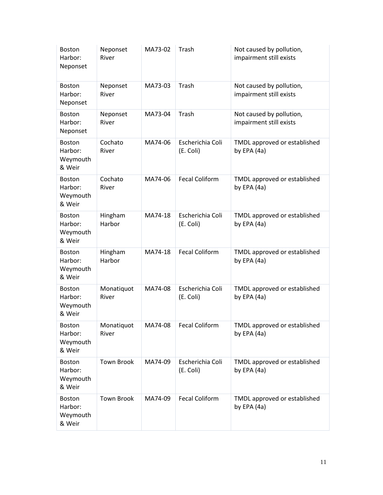| <b>Boston</b><br>Harbor:<br>Neponset           | Neponset<br>River   | MA73-02 | Trash                         | Not caused by pollution,<br>impairment still exists |
|------------------------------------------------|---------------------|---------|-------------------------------|-----------------------------------------------------|
| <b>Boston</b><br>Harbor:<br>Neponset           | Neponset<br>River   | MA73-03 | Trash                         | Not caused by pollution,<br>impairment still exists |
| Boston<br>Harbor:<br>Neponset                  | Neponset<br>River   | MA73-04 | Trash                         | Not caused by pollution,<br>impairment still exists |
| Boston<br>Harbor:<br>Weymouth<br>& Weir        | Cochato<br>River    | MA74-06 | Escherichia Coli<br>(E. Coli) | TMDL approved or established<br>by EPA (4a)         |
| Boston<br>Harbor:<br>Weymouth<br>& Weir        | Cochato<br>River    | MA74-06 | <b>Fecal Coliform</b>         | TMDL approved or established<br>by EPA (4a)         |
| <b>Boston</b><br>Harbor:<br>Weymouth<br>& Weir | Hingham<br>Harbor   | MA74-18 | Escherichia Coli<br>(E. Coli) | TMDL approved or established<br>by EPA $(4a)$       |
| <b>Boston</b><br>Harbor:<br>Weymouth<br>& Weir | Hingham<br>Harbor   | MA74-18 | <b>Fecal Coliform</b>         | TMDL approved or established<br>by EPA $(4a)$       |
| <b>Boston</b><br>Harbor:<br>Weymouth<br>& Weir | Monatiquot<br>River | MA74-08 | Escherichia Coli<br>(E. Coli) | TMDL approved or established<br>by EPA $(4a)$       |
| <b>Boston</b><br>Harbor:<br>Weymouth<br>& Weir | Monatiquot<br>River | MA74-08 | Fecal Coliform                | TMDL approved or established<br>by EPA $(4a)$       |
| <b>Boston</b><br>Harbor:<br>Weymouth<br>& Weir | <b>Town Brook</b>   | MA74-09 | Escherichia Coli<br>(E. Coli) | TMDL approved or established<br>by EPA $(4a)$       |
| <b>Boston</b><br>Harbor:<br>Weymouth<br>& Weir | <b>Town Brook</b>   | MA74-09 | <b>Fecal Coliform</b>         | TMDL approved or established<br>by EPA $(4a)$       |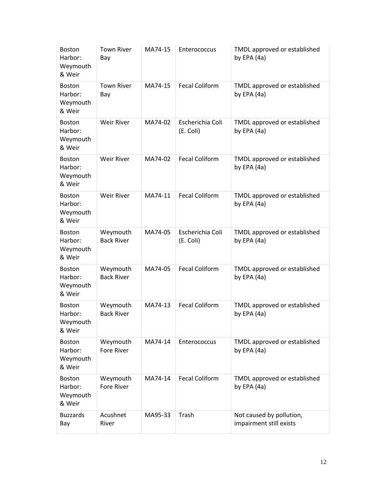| <b>Boston</b><br>Harbor:<br>Weymouth<br>& Weir | <b>Town River</b><br>Bay      | MA74-15 | Enterococcus                  | TMDL approved or established<br>by EPA $(4a)$       |
|------------------------------------------------|-------------------------------|---------|-------------------------------|-----------------------------------------------------|
| <b>Boston</b><br>Harbor:<br>Weymouth<br>& Weir | <b>Town River</b><br>Bay      | MA74-15 | <b>Fecal Coliform</b>         | TMDL approved or established<br>by EPA $(4a)$       |
| Boston<br>Harbor:<br>Weymouth<br>& Weir        | Weir River                    | MA74-02 | Escherichia Coli<br>(E. Coli) | TMDL approved or established<br>by EPA $(4a)$       |
| <b>Boston</b><br>Harbor:<br>Weymouth<br>& Weir | Weir River                    | MA74-02 | <b>Fecal Coliform</b>         | TMDL approved or established<br>by EPA $(4a)$       |
| <b>Boston</b><br>Harbor:<br>Weymouth<br>& Weir | Weir River                    | MA74-11 | <b>Fecal Coliform</b>         | TMDL approved or established<br>by EPA (4a)         |
| <b>Boston</b><br>Harbor:<br>Weymouth<br>& Weir | Weymouth<br><b>Back River</b> | MA74-05 | Escherichia Coli<br>(E. Coli) | TMDL approved or established<br>by EPA $(4a)$       |
| <b>Boston</b><br>Harbor:<br>Weymouth<br>& Weir | Weymouth<br><b>Back River</b> | MA74-05 | <b>Fecal Coliform</b>         | TMDL approved or established<br>by EPA $(4a)$       |
| <b>Boston</b><br>Harbor:<br>Weymouth<br>& Weir | Weymouth<br><b>Back River</b> | MA74-13 | <b>Fecal Coliform</b>         | TMDL approved or established<br>by EPA (4a)         |
| <b>Boston</b><br>Harbor:<br>Weymouth<br>& Weir | Weymouth<br><b>Fore River</b> | MA74-14 | Enterococcus                  | TMDL approved or established<br>by EPA $(4a)$       |
| <b>Boston</b><br>Harbor:<br>Weymouth<br>& Weir | Weymouth<br>Fore River        | MA74-14 | <b>Fecal Coliform</b>         | TMDL approved or established<br>by EPA (4a)         |
| <b>Buzzards</b><br>Bay                         | Acushnet<br>River             | MA95-33 | Trash                         | Not caused by pollution,<br>impairment still exists |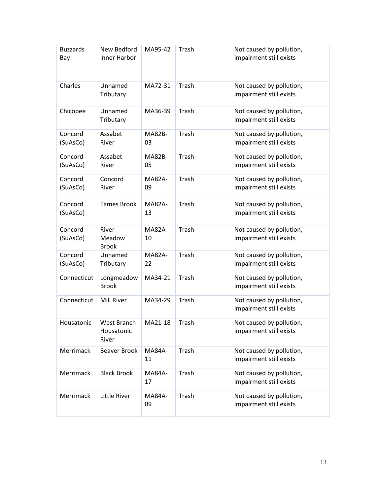| <b>Buzzards</b><br>Bay | New Bedford<br>Inner Harbor        | MA95-42             | Trash | Not caused by pollution,<br>impairment still exists |
|------------------------|------------------------------------|---------------------|-------|-----------------------------------------------------|
| Charles                | Unnamed<br>Tributary               | MA72-31             | Trash | Not caused by pollution,<br>impairment still exists |
| Chicopee               | Unnamed<br>Tributary               | MA36-39             | Trash | Not caused by pollution,<br>impairment still exists |
| Concord<br>(SuAsCo)    | Assabet<br>River                   | MA82B-<br>03        | Trash | Not caused by pollution,<br>impairment still exists |
| Concord<br>(SuAsCo)    | Assabet<br>River                   | MA82B-<br>05        | Trash | Not caused by pollution,<br>impairment still exists |
| Concord<br>(SuAsCo)    | Concord<br>River                   | <b>MA82A-</b><br>09 | Trash | Not caused by pollution,<br>impairment still exists |
| Concord<br>(SuAsCo)    | <b>Eames Brook</b>                 | <b>MA82A-</b><br>13 | Trash | Not caused by pollution,<br>impairment still exists |
| Concord<br>(SuAsCo)    | River<br>Meadow<br><b>Brook</b>    | <b>MA82A-</b><br>10 | Trash | Not caused by pollution,<br>impairment still exists |
| Concord<br>(SuAsCo)    | Unnamed<br>Tributary               | <b>MA82A-</b><br>22 | Trash | Not caused by pollution,<br>impairment still exists |
| Connecticut            | Longmeadow<br><b>Brook</b>         | MA34-21             | Trash | Not caused by pollution,<br>impairment still exists |
| Connecticut            | Mill River                         | MA34-29             | Trash | Not caused by pollution,<br>impairment still exists |
| Housatonic             | West Branch<br>Housatonic<br>River | MA21-18             | Trash | Not caused by pollution,<br>impairment still exists |
| Merrimack              | Beaver Brook                       | <b>MA84A-</b><br>11 | Trash | Not caused by pollution,<br>impairment still exists |
| Merrimack              | <b>Black Brook</b>                 | <b>MA84A-</b><br>17 | Trash | Not caused by pollution,<br>impairment still exists |
| Merrimack              | Little River                       | <b>MA84A-</b><br>09 | Trash | Not caused by pollution,<br>impairment still exists |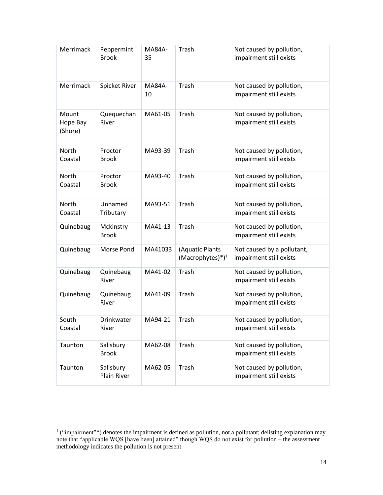| Merrimack                    | Peppermint<br><b>Brook</b> | <b>MA84A-</b><br>35 | Trash                                       | Not caused by pollution,<br>impairment still exists   |
|------------------------------|----------------------------|---------------------|---------------------------------------------|-------------------------------------------------------|
| Merrimack                    | Spicket River              | <b>MA84A-</b><br>10 | Trash                                       | Not caused by pollution,<br>impairment still exists   |
| Mount<br>Hope Bay<br>(Shore) | Quequechan<br>River        | MA61-05             | Trash                                       | Not caused by pollution,<br>impairment still exists   |
| North<br>Coastal             | Proctor<br><b>Brook</b>    | MA93-39             | Trash                                       | Not caused by pollution,<br>impairment still exists   |
| North<br>Coastal             | Proctor<br><b>Brook</b>    | MA93-40             | Trash                                       | Not caused by pollution,<br>impairment still exists   |
| <b>North</b><br>Coastal      | Unnamed<br>Tributary       | MA93-51             | Trash                                       | Not caused by pollution,<br>impairment still exists   |
| Quinebaug                    | Mckinstry<br><b>Brook</b>  | MA41-13             | Trash                                       | Not caused by pollution,<br>impairment still exists   |
| Quinebaug                    | Morse Pond                 | MA41033             | (Aquatic Plants<br>$(Macrophytes)^{*})^{1}$ | Not caused by a pollutant,<br>impairment still exists |
| Quinebaug                    | Quinebaug<br>River         | MA41-02             | Trash                                       | Not caused by pollution,<br>impairment still exists   |
| Quinebaug                    | Quinebaug<br>River         | MA41-09             | Trash                                       | Not caused by pollution,<br>impairment still exists   |
| South<br>Coastal             | <b>Drinkwater</b><br>River | MA94-21             | Trash                                       | Not caused by pollution,<br>impairment still exists   |
| Taunton                      | Salisbury<br><b>Brook</b>  | MA62-08             | Trash                                       | Not caused by pollution,<br>impairment still exists   |
| Taunton                      | Salisbury<br>Plain River   | MA62-05             | Trash                                       | Not caused by pollution,<br>impairment still exists   |

 $1$  ("impairment"\*) denotes the impairment is defined as pollution, not a pollutant; delisting explanation may note that "applicable WQS [have been] attained" though WQS do not exist for pollution – the assessment methodology indicates the pollution is not present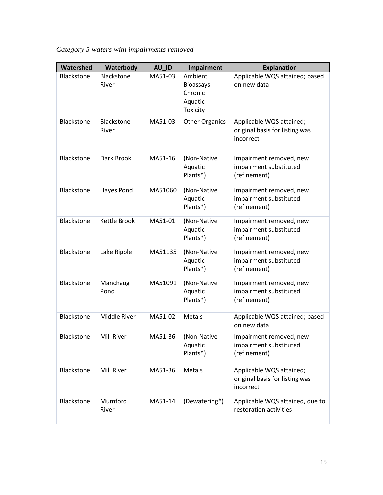*Category 5 waters with impairments removed*

| Watershed         | Waterbody                  | AU_ID   | <b>Impairment</b>                                        | <b>Explanation</b>                                                      |
|-------------------|----------------------------|---------|----------------------------------------------------------|-------------------------------------------------------------------------|
| <b>Blackstone</b> | <b>Blackstone</b><br>River | MA51-03 | Ambient<br>Bioassays -<br>Chronic<br>Aquatic<br>Toxicity | Applicable WQS attained; based<br>on new data                           |
| Blackstone        | Blackstone<br>River        | MA51-03 | <b>Other Organics</b>                                    | Applicable WQS attained;<br>original basis for listing was<br>incorrect |
| Blackstone        | Dark Brook                 | MA51-16 | (Non-Native<br>Aquatic<br>Plants*)                       | Impairment removed, new<br>impairment substituted<br>(refinement)       |
| Blackstone        | Hayes Pond                 | MA51060 | (Non-Native<br>Aquatic<br>Plants*)                       | Impairment removed, new<br>impairment substituted<br>(refinement)       |
| Blackstone        | Kettle Brook               | MA51-01 | (Non-Native<br>Aquatic<br>Plants*)                       | Impairment removed, new<br>impairment substituted<br>(refinement)       |
| Blackstone        | Lake Ripple                | MA51135 | (Non-Native<br>Aquatic<br>Plants*)                       | Impairment removed, new<br>impairment substituted<br>(refinement)       |
| Blackstone        | Manchaug<br>Pond           | MA51091 | (Non-Native<br>Aquatic<br>Plants*)                       | Impairment removed, new<br>impairment substituted<br>(refinement)       |
| Blackstone        | Middle River               | MA51-02 | Metals                                                   | Applicable WQS attained; based<br>on new data                           |
| Blackstone        | Mill River                 | MA51-36 | (Non-Native<br>Aquatic<br>Plants*)                       | Impairment removed, new<br>impairment substituted<br>(refinement)       |
| Blackstone        | Mill River                 | MA51-36 | Metals                                                   | Applicable WQS attained;<br>original basis for listing was<br>incorrect |
| Blackstone        | Mumford<br>River           | MA51-14 | (Dewatering*)                                            | Applicable WQS attained, due to<br>restoration activities               |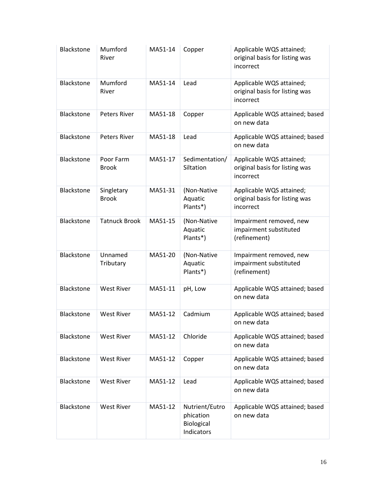| Blackstone | Mumford<br>River           | MA51-14 | Copper                                                  | Applicable WQS attained;<br>original basis for listing was<br>incorrect |
|------------|----------------------------|---------|---------------------------------------------------------|-------------------------------------------------------------------------|
| Blackstone | Mumford<br>River           | MA51-14 | Lead                                                    | Applicable WQS attained;<br>original basis for listing was<br>incorrect |
| Blackstone | <b>Peters River</b>        | MA51-18 | Copper                                                  | Applicable WQS attained; based<br>on new data                           |
| Blackstone | <b>Peters River</b>        | MA51-18 | Lead                                                    | Applicable WQS attained; based<br>on new data                           |
| Blackstone | Poor Farm<br><b>Brook</b>  | MA51-17 | Sedimentation/<br>Siltation                             | Applicable WQS attained;<br>original basis for listing was<br>incorrect |
| Blackstone | Singletary<br><b>Brook</b> | MA51-31 | (Non-Native<br>Aquatic<br>Plants*)                      | Applicable WQS attained;<br>original basis for listing was<br>incorrect |
| Blackstone | <b>Tatnuck Brook</b>       | MA51-15 | (Non-Native<br>Aquatic<br>Plants*)                      | Impairment removed, new<br>impairment substituted<br>(refinement)       |
| Blackstone | Unnamed<br>Tributary       | MA51-20 | (Non-Native<br>Aquatic<br>Plants*)                      | Impairment removed, new<br>impairment substituted<br>(refinement)       |
| Blackstone | <b>West River</b>          | MA51-11 | pH, Low                                                 | Applicable WQS attained; based<br>on new data                           |
| Blackstone | <b>West River</b>          | MA51-12 | Cadmium                                                 | Applicable WQS attained; based<br>on new data                           |
| Blackstone | <b>West River</b>          | MA51-12 | Chloride                                                | Applicable WQS attained; based<br>on new data                           |
| Blackstone | <b>West River</b>          | MA51-12 | Copper                                                  | Applicable WQS attained; based<br>on new data                           |
| Blackstone | <b>West River</b>          | MA51-12 | Lead                                                    | Applicable WQS attained; based<br>on new data                           |
| Blackstone | <b>West River</b>          | MA51-12 | Nutrient/Eutro<br>phication<br>Biological<br>Indicators | Applicable WQS attained; based<br>on new data                           |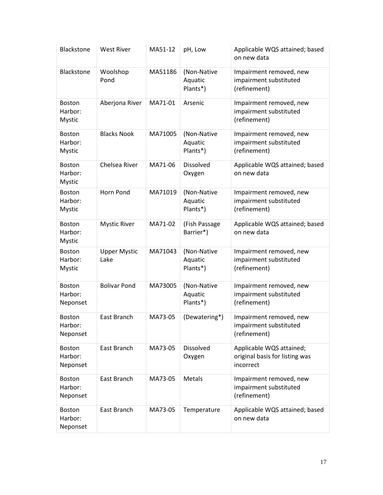| Blackstone                                | <b>West River</b>           | MA51-12 | pH, Low                            | Applicable WQS attained; based<br>on new data                           |
|-------------------------------------------|-----------------------------|---------|------------------------------------|-------------------------------------------------------------------------|
| Blackstone                                | Woolshop<br>Pond            | MA51186 | (Non-Native<br>Aquatic<br>Plants*) | Impairment removed, new<br>impairment substituted<br>(refinement)       |
| <b>Boston</b><br>Harbor:<br>Mystic        | Aberjona River              | MA71-01 | Arsenic                            | Impairment removed, new<br>impairment substituted<br>(refinement)       |
| <b>Boston</b><br>Harbor:<br><b>Mystic</b> | <b>Blacks Nook</b>          | MA71005 | (Non-Native<br>Aquatic<br>Plants*) | Impairment removed, new<br>impairment substituted<br>(refinement)       |
| <b>Boston</b><br>Harbor:<br><b>Mystic</b> | Chelsea River               | MA71-06 | Dissolved<br>Oxygen                | Applicable WQS attained; based<br>on new data                           |
| <b>Boston</b><br>Harbor:<br>Mystic        | Horn Pond                   | MA71019 | (Non-Native<br>Aquatic<br>Plants*) | Impairment removed, new<br>impairment substituted<br>(refinement)       |
| <b>Boston</b><br>Harbor:<br>Mystic        | <b>Mystic River</b>         | MA71-02 | (Fish Passage<br>Barrier*)         | Applicable WQS attained; based<br>on new data                           |
| <b>Boston</b><br>Harbor:<br>Mystic        | <b>Upper Mystic</b><br>Lake | MA71043 | (Non-Native<br>Aquatic<br>Plants*) | Impairment removed, new<br>impairment substituted<br>(refinement)       |
| <b>Boston</b><br>Harbor:<br>Neponset      | <b>Bolivar Pond</b>         | MA73005 | (Non-Native<br>Aquatic<br>Plants*) | Impairment removed, new<br>impairment substituted<br>(refinement)       |
| <b>Boston</b><br>Harbor:<br>Neponset      | East Branch                 | MA73-05 | (Dewatering*)                      | Impairment removed, new<br>impairment substituted<br>(refinement)       |
| <b>Boston</b><br>Harbor:<br>Neponset      | East Branch                 | MA73-05 | Dissolved<br>Oxygen                | Applicable WQS attained;<br>original basis for listing was<br>incorrect |
| <b>Boston</b><br>Harbor:<br>Neponset      | East Branch                 | MA73-05 | Metals                             | Impairment removed, new<br>impairment substituted<br>(refinement)       |
| <b>Boston</b><br>Harbor:<br>Neponset      | East Branch                 | MA73-05 | Temperature                        | Applicable WQS attained; based<br>on new data                           |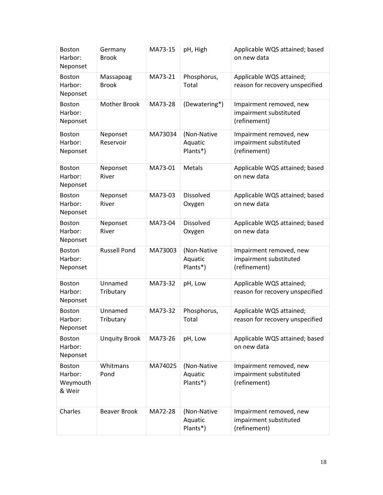| <b>Boston</b><br>Harbor:<br>Neponset           | Germany<br><b>Brook</b>   | MA73-15 | pH, High                           | Applicable WQS attained; based<br>on new data                     |
|------------------------------------------------|---------------------------|---------|------------------------------------|-------------------------------------------------------------------|
| <b>Boston</b><br>Harbor:<br>Neponset           | Massapoag<br><b>Brook</b> | MA73-21 | Phosphorus,<br>Total               | Applicable WQS attained;<br>reason for recovery unspecified       |
| <b>Boston</b><br>Harbor:<br>Neponset           | <b>Mother Brook</b>       | MA73-28 | (Dewatering*)                      | Impairment removed, new<br>impairment substituted<br>(refinement) |
| <b>Boston</b><br>Harbor:<br>Neponset           | Neponset<br>Reservoir     | MA73034 | (Non-Native<br>Aquatic<br>Plants*) | Impairment removed, new<br>impairment substituted<br>(refinement) |
| Boston<br>Harbor:<br>Neponset                  | Neponset<br>River         | MA73-01 | Metals                             | Applicable WQS attained; based<br>on new data                     |
| <b>Boston</b><br>Harbor:<br>Neponset           | Neponset<br>River         | MA73-03 | Dissolved<br>Oxygen                | Applicable WQS attained; based<br>on new data                     |
| <b>Boston</b><br>Harbor:<br>Neponset           | Neponset<br>River         | MA73-04 | Dissolved<br>Oxygen                | Applicable WQS attained; based<br>on new data                     |
| <b>Boston</b><br>Harbor:<br>Neponset           | <b>Russell Pond</b>       | MA73003 | (Non-Native<br>Aquatic<br>Plants*) | Impairment removed, new<br>impairment substituted<br>(refinement) |
| <b>Boston</b><br>Harbor:<br>Neponset           | Unnamed<br>Tributary      | MA73-32 | pH, Low                            | Applicable WQS attained;<br>reason for recovery unspecified       |
| <b>Boston</b><br>Harbor:<br>Neponset           | Unnamed<br>Tributary      | MA73-32 | Phosphorus,<br>Total               | Applicable WQS attained;<br>reason for recovery unspecified       |
| <b>Boston</b><br>Harbor:<br>Neponset           | <b>Unquity Brook</b>      | MA73-26 | pH, Low                            | Applicable WQS attained; based<br>on new data                     |
| <b>Boston</b><br>Harbor:<br>Weymouth<br>& Weir | Whitmans<br>Pond          | MA74025 | (Non-Native<br>Aquatic<br>Plants*) | Impairment removed, new<br>impairment substituted<br>(refinement) |
| Charles                                        | <b>Beaver Brook</b>       | MA72-28 | (Non-Native<br>Aquatic<br>Plants*) | Impairment removed, new<br>impairment substituted<br>(refinement) |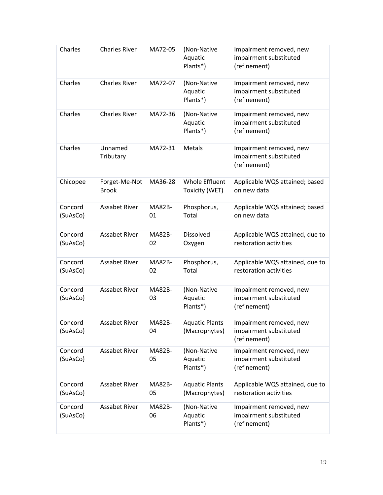| Charles             | <b>Charles River</b>          | MA72-05             | (Non-Native<br>Aquatic<br>Plants*)     | Impairment removed, new<br>impairment substituted<br>(refinement) |
|---------------------|-------------------------------|---------------------|----------------------------------------|-------------------------------------------------------------------|
| Charles             | <b>Charles River</b>          | MA72-07             | (Non-Native<br>Aquatic<br>Plants*)     | Impairment removed, new<br>impairment substituted<br>(refinement) |
| Charles             | <b>Charles River</b>          | MA72-36             | (Non-Native<br>Aquatic<br>Plants*)     | Impairment removed, new<br>impairment substituted<br>(refinement) |
| Charles             | Unnamed<br>Tributary          | MA72-31             | Metals                                 | Impairment removed, new<br>impairment substituted<br>(refinement) |
| Chicopee            | Forget-Me-Not<br><b>Brook</b> | MA36-28             | Whole Effluent<br>Toxicity (WET)       | Applicable WQS attained; based<br>on new data                     |
| Concord<br>(SuAsCo) | <b>Assabet River</b>          | <b>MA82B-</b><br>01 | Phosphorus,<br>Total                   | Applicable WQS attained; based<br>on new data                     |
| Concord<br>(SuAsCo) | <b>Assabet River</b>          | <b>MA82B-</b><br>02 | Dissolved<br>Oxygen                    | Applicable WQS attained, due to<br>restoration activities         |
| Concord<br>(SuAsCo) | <b>Assabet River</b>          | <b>MA82B-</b><br>02 | Phosphorus,<br>Total                   | Applicable WQS attained, due to<br>restoration activities         |
| Concord<br>(SuAsCo) | <b>Assabet River</b>          | <b>MA82B-</b><br>03 | (Non-Native<br>Aquatic<br>Plants*)     | Impairment removed, new<br>impairment substituted<br>(refinement) |
| Concord<br>(SuAsCo) | Assabet River                 | MA82B-<br>04        | <b>Aquatic Plants</b><br>(Macrophytes) | Impairment removed, new<br>impairment substituted<br>(refinement) |
| Concord<br>(SuAsCo) | <b>Assabet River</b>          | <b>MA82B-</b><br>05 | (Non-Native<br>Aquatic<br>Plants*)     | Impairment removed, new<br>impairment substituted<br>(refinement) |
| Concord<br>(SuAsCo) | Assabet River                 | <b>MA82B-</b><br>05 | <b>Aquatic Plants</b><br>(Macrophytes) | Applicable WQS attained, due to<br>restoration activities         |
| Concord<br>(SuAsCo) | Assabet River                 | <b>MA82B-</b><br>06 | (Non-Native<br>Aquatic<br>Plants*)     | Impairment removed, new<br>impairment substituted<br>(refinement) |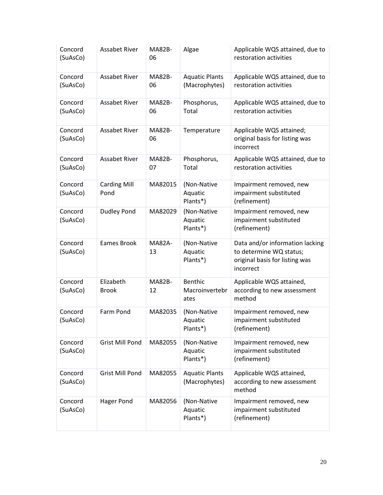| Concord<br>(SuAsCo) | <b>Assabet River</b>        | <b>MA82B-</b><br>06 | Algae                                    | Applicable WQS attained, due to<br>restoration activities                                                 |
|---------------------|-----------------------------|---------------------|------------------------------------------|-----------------------------------------------------------------------------------------------------------|
| Concord<br>(SuAsCo) | <b>Assabet River</b>        | <b>MA82B-</b><br>06 | <b>Aquatic Plants</b><br>(Macrophytes)   | Applicable WQS attained, due to<br>restoration activities                                                 |
| Concord<br>(SuAsCo) | <b>Assabet River</b>        | <b>MA82B-</b><br>06 | Phosphorus,<br>Total                     | Applicable WQS attained, due to<br>restoration activities                                                 |
| Concord<br>(SuAsCo) | <b>Assabet River</b>        | <b>MA82B-</b><br>06 | Temperature                              | Applicable WQS attained;<br>original basis for listing was<br>incorrect                                   |
| Concord<br>(SuAsCo) | <b>Assabet River</b>        | <b>MA82B-</b><br>07 | Phosphorus,<br>Total                     | Applicable WQS attained, due to<br>restoration activities                                                 |
| Concord<br>(SuAsCo) | <b>Carding Mill</b><br>Pond | MA82015             | (Non-Native<br>Aquatic<br>Plants*)       | Impairment removed, new<br>impairment substituted<br>(refinement)                                         |
| Concord<br>(SuAsCo) | <b>Dudley Pond</b>          | MA82029             | (Non-Native<br>Aquatic<br>Plants*)       | Impairment removed, new<br>impairment substituted<br>(refinement)                                         |
| Concord<br>(SuAsCo) | Eames Brook                 | <b>MA82A-</b><br>13 | (Non-Native<br>Aquatic<br>Plants*)       | Data and/or information lacking<br>to determine WQ status;<br>original basis for listing was<br>incorrect |
| Concord<br>(SuAsCo) | Elizabeth<br><b>Brook</b>   | <b>MA82B-</b><br>12 | <b>Benthic</b><br>Macroinvertebr<br>ates | Applicable WQS attained,<br>according to new assessment<br>method                                         |
| Concord<br>(SuAsCo) | Farm Pond                   | MA82035             | (Non-Native<br>Aquatic<br>Plants*)       | Impairment removed, new<br>impairment substituted<br>(refinement)                                         |
| Concord<br>(SuAsCo) | <b>Grist Mill Pond</b>      | MA82055             | (Non-Native<br>Aquatic<br>Plants*)       | Impairment removed, new<br>impairment substituted<br>(refinement)                                         |
| Concord<br>(SuAsCo) | <b>Grist Mill Pond</b>      | MA82055             | <b>Aquatic Plants</b><br>(Macrophytes)   | Applicable WQS attained,<br>according to new assessment<br>method                                         |
| Concord<br>(SuAsCo) | <b>Hager Pond</b>           | MA82056             | (Non-Native<br>Aquatic<br>Plants*)       | Impairment removed, new<br>impairment substituted<br>(refinement)                                         |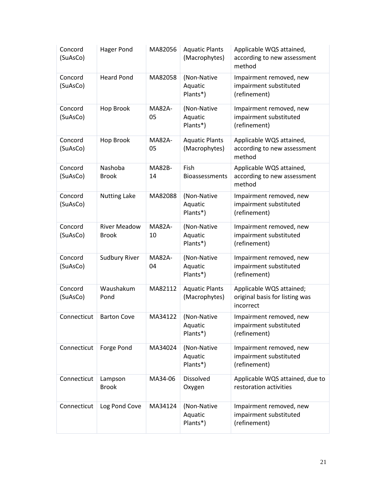| Concord<br>(SuAsCo) | <b>Hager Pond</b>                   | MA82056             | <b>Aquatic Plants</b><br>(Macrophytes) | Applicable WQS attained,<br>according to new assessment<br>method       |
|---------------------|-------------------------------------|---------------------|----------------------------------------|-------------------------------------------------------------------------|
| Concord<br>(SuAsCo) | <b>Heard Pond</b>                   | MA82058             | (Non-Native<br>Aquatic<br>Plants*)     | Impairment removed, new<br>impairment substituted<br>(refinement)       |
| Concord<br>(SuAsCo) | Hop Brook                           | <b>MA82A-</b><br>05 | (Non-Native<br>Aquatic<br>Plants*)     | Impairment removed, new<br>impairment substituted<br>(refinement)       |
| Concord<br>(SuAsCo) | Hop Brook                           | <b>MA82A-</b><br>05 | <b>Aquatic Plants</b><br>(Macrophytes) | Applicable WQS attained,<br>according to new assessment<br>method       |
| Concord<br>(SuAsCo) | Nashoba<br><b>Brook</b>             | <b>MA82B-</b><br>14 | Fish<br>Bioassessments                 | Applicable WQS attained,<br>according to new assessment<br>method       |
| Concord<br>(SuAsCo) | <b>Nutting Lake</b>                 | MA82088             | (Non-Native<br>Aquatic<br>Plants*)     | Impairment removed, new<br>impairment substituted<br>(refinement)       |
| Concord<br>(SuAsCo) | <b>River Meadow</b><br><b>Brook</b> | <b>MA82A-</b><br>10 | (Non-Native<br>Aquatic<br>Plants*)     | Impairment removed, new<br>impairment substituted<br>(refinement)       |
| Concord<br>(SuAsCo) | <b>Sudbury River</b>                | <b>MA82A-</b><br>04 | (Non-Native<br>Aquatic<br>Plants*)     | Impairment removed, new<br>impairment substituted<br>(refinement)       |
| Concord<br>(SuAsCo) | Waushakum<br>Pond                   | MA82112             | <b>Aquatic Plants</b><br>(Macrophytes) | Applicable WQS attained;<br>original basis for listing was<br>incorrect |
| Connecticut         | <b>Barton Cove</b>                  | MA34122             | (Non-Native<br>Aquatic<br>Plants*)     | Impairment removed, new<br>impairment substituted<br>(refinement)       |
| Connecticut         | Forge Pond                          | MA34024             | (Non-Native<br>Aquatic<br>Plants*)     | Impairment removed, new<br>impairment substituted<br>(refinement)       |
| Connecticut         | Lampson<br><b>Brook</b>             | MA34-06             | <b>Dissolved</b><br>Oxygen             | Applicable WQS attained, due to<br>restoration activities               |
| Connecticut         | Log Pond Cove                       | MA34124             | (Non-Native<br>Aquatic<br>Plants*)     | Impairment removed, new<br>impairment substituted<br>(refinement)       |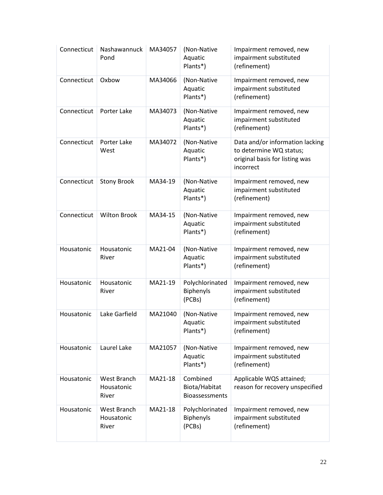| Connecticut | Nashawannuck<br>Pond               | MA34057 | (Non-Native<br>Aquatic<br>Plants*)                 | Impairment removed, new<br>impairment substituted<br>(refinement)                                         |
|-------------|------------------------------------|---------|----------------------------------------------------|-----------------------------------------------------------------------------------------------------------|
| Connecticut | Oxbow                              | MA34066 | (Non-Native<br>Aquatic<br>Plants*)                 | Impairment removed, new<br>impairment substituted<br>(refinement)                                         |
| Connecticut | Porter Lake                        | MA34073 | (Non-Native<br>Aquatic<br>Plants*)                 | Impairment removed, new<br>impairment substituted<br>(refinement)                                         |
| Connecticut | Porter Lake<br>West                | MA34072 | (Non-Native<br>Aquatic<br>Plants*)                 | Data and/or information lacking<br>to determine WQ status;<br>original basis for listing was<br>incorrect |
| Connecticut | <b>Stony Brook</b>                 | MA34-19 | (Non-Native<br>Aquatic<br>Plants*)                 | Impairment removed, new<br>impairment substituted<br>(refinement)                                         |
| Connecticut | <b>Wilton Brook</b>                | MA34-15 | (Non-Native<br>Aquatic<br>Plants*)                 | Impairment removed, new<br>impairment substituted<br>(refinement)                                         |
| Housatonic  | Housatonic<br>River                | MA21-04 | (Non-Native<br>Aquatic<br>Plants*)                 | Impairment removed, new<br>impairment substituted<br>(refinement)                                         |
| Housatonic  | Housatonic<br>River                | MA21-19 | Polychlorinated<br>Biphenyls<br>(PCBs)             | Impairment removed, new<br>impairment substituted<br>(refinement)                                         |
| Housatonic  | Lake Garfield                      | MA21040 | (Non-Native<br>Aquatic<br>Plants*)                 | Impairment removed, new<br>impairment substituted<br>(refinement)                                         |
| Housatonic  | Laurel Lake                        | MA21057 | (Non-Native<br>Aquatic<br>Plants*)                 | Impairment removed, new<br>impairment substituted<br>(refinement)                                         |
| Housatonic  | West Branch<br>Housatonic<br>River | MA21-18 | Combined<br>Biota/Habitat<br><b>Bioassessments</b> | Applicable WQS attained;<br>reason for recovery unspecified                                               |
| Housatonic  | West Branch<br>Housatonic<br>River | MA21-18 | Polychlorinated<br><b>Biphenyls</b><br>(PCBs)      | Impairment removed, new<br>impairment substituted<br>(refinement)                                         |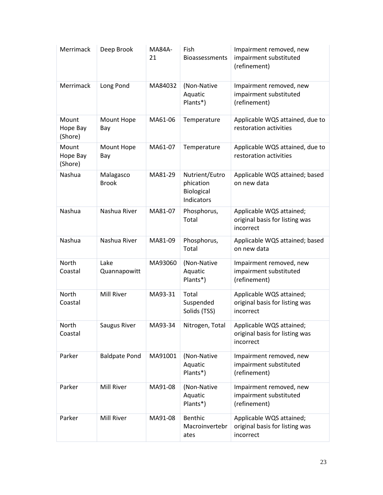| Merrimack                    | Deep Brook                | <b>MA84A-</b><br>21 | Fish<br>Bioassessments                                  | Impairment removed, new<br>impairment substituted<br>(refinement)       |
|------------------------------|---------------------------|---------------------|---------------------------------------------------------|-------------------------------------------------------------------------|
| Merrimack                    | Long Pond                 | MA84032             | (Non-Native<br>Aquatic<br>Plants*)                      | Impairment removed, new<br>impairment substituted<br>(refinement)       |
| Mount<br>Hope Bay<br>(Shore) | Mount Hope<br>Bay         | MA61-06             | Temperature                                             | Applicable WQS attained, due to<br>restoration activities               |
| Mount<br>Hope Bay<br>(Shore) | Mount Hope<br>Bay         | MA61-07             | Temperature                                             | Applicable WQS attained, due to<br>restoration activities               |
| Nashua                       | Malagasco<br><b>Brook</b> | MA81-29             | Nutrient/Eutro<br>phication<br>Biological<br>Indicators | Applicable WQS attained; based<br>on new data                           |
| Nashua                       | Nashua River              | MA81-07             | Phosphorus,<br>Total                                    | Applicable WQS attained;<br>original basis for listing was<br>incorrect |
| Nashua                       | Nashua River              | MA81-09             | Phosphorus,<br>Total                                    | Applicable WQS attained; based<br>on new data                           |
| North<br>Coastal             | Lake<br>Quannapowitt      | MA93060             | (Non-Native<br>Aquatic<br>Plants*)                      | Impairment removed, new<br>impairment substituted<br>(refinement)       |
| <b>North</b><br>Coastal      | Mill River                | MA93-31             | Total<br>Suspended<br>Solids (TSS)                      | Applicable WQS attained;<br>original basis for listing was<br>incorrect |
| North<br>Coastal             | Saugus River              | MA93-34             | Nitrogen, Total                                         | Applicable WQS attained;<br>original basis for listing was<br>incorrect |
| Parker                       | <b>Baldpate Pond</b>      | MA91001             | (Non-Native<br>Aquatic<br>Plants*)                      | Impairment removed, new<br>impairment substituted<br>(refinement)       |
| Parker                       | Mill River                | MA91-08             | (Non-Native<br>Aquatic<br>Plants*)                      | Impairment removed, new<br>impairment substituted<br>(refinement)       |
| Parker                       | Mill River                | MA91-08             | Benthic<br>Macroinvertebr<br>ates                       | Applicable WQS attained;<br>original basis for listing was<br>incorrect |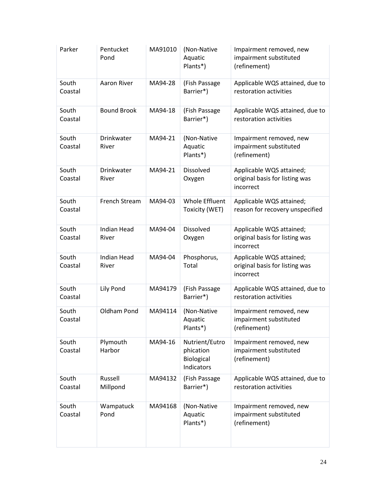| Parker           | Pentucket<br>Pond           | MA91010 | (Non-Native<br>Aquatic<br>Plants*)                      | Impairment removed, new<br>impairment substituted<br>(refinement)       |
|------------------|-----------------------------|---------|---------------------------------------------------------|-------------------------------------------------------------------------|
| South<br>Coastal | Aaron River                 | MA94-28 | (Fish Passage<br>Barrier*)                              | Applicable WQS attained, due to<br>restoration activities               |
| South<br>Coastal | <b>Bound Brook</b>          | MA94-18 | (Fish Passage<br>Barrier*)                              | Applicable WQS attained, due to<br>restoration activities               |
| South<br>Coastal | Drinkwater<br>River         | MA94-21 | (Non-Native<br>Aquatic<br>Plants*)                      | Impairment removed, new<br>impairment substituted<br>(refinement)       |
| South<br>Coastal | Drinkwater<br>River         | MA94-21 | Dissolved<br>Oxygen                                     | Applicable WQS attained;<br>original basis for listing was<br>incorrect |
| South<br>Coastal | French Stream               | MA94-03 | Whole Effluent<br>Toxicity (WET)                        | Applicable WQS attained;<br>reason for recovery unspecified             |
| South<br>Coastal | <b>Indian Head</b><br>River | MA94-04 | Dissolved<br>Oxygen                                     | Applicable WQS attained;<br>original basis for listing was<br>incorrect |
| South<br>Coastal | <b>Indian Head</b><br>River | MA94-04 | Phosphorus,<br>Total                                    | Applicable WQS attained;<br>original basis for listing was<br>incorrect |
| South<br>Coastal | Lily Pond                   | MA94179 | (Fish Passage<br>Barrier*)                              | Applicable WQS attained, due to<br>restoration activities               |
| South<br>Coastal | Oldham Pond                 | MA94114 | (Non-Native<br>Aquatic<br>Plants*)                      | Impairment removed, new<br>impairment substituted<br>(refinement)       |
| South<br>Coastal | Plymouth<br>Harbor          | MA94-16 | Nutrient/Eutro<br>phication<br>Biological<br>Indicators | Impairment removed, new<br>impairment substituted<br>(refinement)       |
| South<br>Coastal | Russell<br>Millpond         | MA94132 | (Fish Passage<br>Barrier*)                              | Applicable WQS attained, due to<br>restoration activities               |
| South<br>Coastal | Wampatuck<br>Pond           | MA94168 | (Non-Native<br>Aquatic<br>Plants*)                      | Impairment removed, new<br>impairment substituted<br>(refinement)       |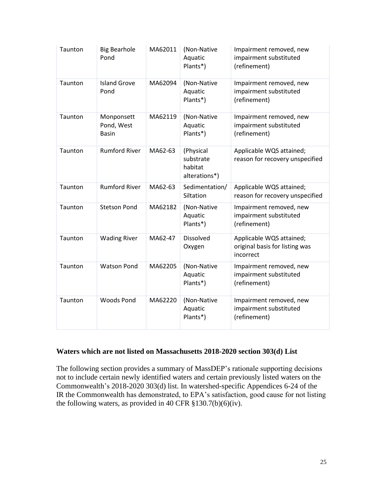| Taunton | <b>Big Bearhole</b><br>Pond              | MA62011 | (Non-Native<br>Aquatic<br>Plants*)                 | Impairment removed, new<br>impairment substituted<br>(refinement)       |
|---------|------------------------------------------|---------|----------------------------------------------------|-------------------------------------------------------------------------|
| Taunton | <b>Island Grove</b><br>Pond              | MA62094 | (Non-Native<br>Aquatic<br>Plants*)                 | Impairment removed, new<br>impairment substituted<br>(refinement)       |
| Taunton | Monponsett<br>Pond, West<br><b>Basin</b> | MA62119 | (Non-Native<br>Aquatic<br>Plants*)                 | Impairment removed, new<br>impairment substituted<br>(refinement)       |
| Taunton | <b>Rumford River</b>                     | MA62-63 | (Physical<br>substrate<br>habitat<br>alterations*) | Applicable WQS attained;<br>reason for recovery unspecified             |
| Taunton | <b>Rumford River</b>                     | MA62-63 | Sedimentation/<br>Siltation                        | Applicable WQS attained;<br>reason for recovery unspecified             |
| Taunton | <b>Stetson Pond</b>                      | MA62182 | (Non-Native<br>Aquatic<br>Plants*)                 | Impairment removed, new<br>impairment substituted<br>(refinement)       |
| Taunton | <b>Wading River</b>                      | MA62-47 | <b>Dissolved</b><br>Oxygen                         | Applicable WQS attained;<br>original basis for listing was<br>incorrect |
| Taunton | <b>Watson Pond</b>                       | MA62205 | (Non-Native<br>Aquatic<br>Plants*)                 | Impairment removed, new<br>impairment substituted<br>(refinement)       |
| Taunton | <b>Woods Pond</b>                        | MA62220 | (Non-Native<br>Aquatic<br>Plants*)                 | Impairment removed, new<br>impairment substituted<br>(refinement)       |

#### **Waters which are not listed on Massachusetts 2018-2020 section 303(d) List**

The following section provides a summary of MassDEP's rationale supporting decisions not to include certain newly identified waters and certain previously listed waters on the Commonwealth's 2018-2020 303(d) list. In watershed-specific Appendices 6-24 of the IR the Commonwealth has demonstrated, to EPA's satisfaction, good cause for not listing the following waters, as provided in 40 CFR  $\S 130.7(b)(6)(iv)$ .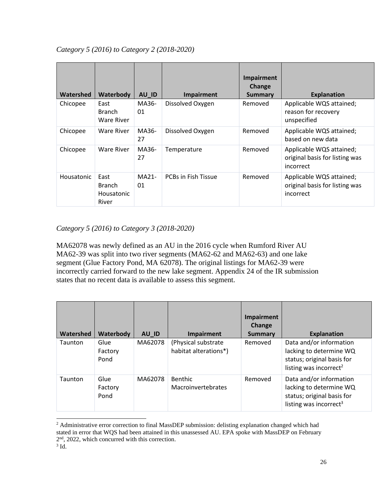| Watershed         | Waterbody                                           | AU_ID         | Impairment                 | Impairment<br><b>Change</b><br><b>Summary</b> | <b>Explanation</b>                                                      |
|-------------------|-----------------------------------------------------|---------------|----------------------------|-----------------------------------------------|-------------------------------------------------------------------------|
| Chicopee          | East<br><b>Branch</b><br>Ware River                 | MA36-<br>01   | Dissolved Oxygen           | Removed                                       | Applicable WQS attained;<br>reason for recovery<br>unspecified          |
| Chicopee          | Ware River                                          | MA36-<br>27   | Dissolved Oxygen           | Removed                                       | Applicable WQS attained;<br>based on new data                           |
| Chicopee          | Ware River                                          | MA36-<br>27   | Temperature                | Removed                                       | Applicable WQS attained;<br>original basis for listing was<br>incorrect |
| <b>Housatonic</b> | East<br><b>Branch</b><br><b>Housatonic</b><br>River | $MA21-$<br>01 | <b>PCBs in Fish Tissue</b> | Removed                                       | Applicable WQS attained;<br>original basis for listing was<br>incorrect |

## *Category 5 (2016) to Category 3 (2018-2020)*

MA62078 was newly defined as an AU in the 2016 cycle when Rumford River AU MA62-39 was split into two river segments (MA62-62 and MA62-63) and one lake segment (Glue Factory Pond, MA 62078). The original listings for MA62-39 were incorrectly carried forward to the new lake segment. Appendix 24 of the IR submission states that no recent data is available to assess this segment.

| Watershed | Waterbody               | AU_ID   | Impairment                                   | <b>Impairment</b><br><b>Change</b><br><b>Summary</b> | <b>Explanation</b>                                                                                                     |
|-----------|-------------------------|---------|----------------------------------------------|------------------------------------------------------|------------------------------------------------------------------------------------------------------------------------|
| Taunton   | Glue<br>Factory<br>Pond | MA62078 | (Physical substrate<br>habitat alterations*) | Removed                                              | Data and/or information<br>lacking to determine WQ<br>status; original basis for<br>listing was incorrect <sup>2</sup> |
| Taunton   | Glue<br>Factory<br>Pond | MA62078 | Benthic<br>Macroinvertebrates                | Removed                                              | Data and/or information<br>lacking to determine WQ<br>status; original basis for<br>listing was incorrect <sup>3</sup> |

<sup>&</sup>lt;sup>2</sup> Administrative error correction to final MassDEP submission: delisting explanation changed which had stated in error that WQS had been attained in this unassessed AU. EPA spoke with MassDEP on February 2<sup>nd</sup>, 2022, which concurred with this correction.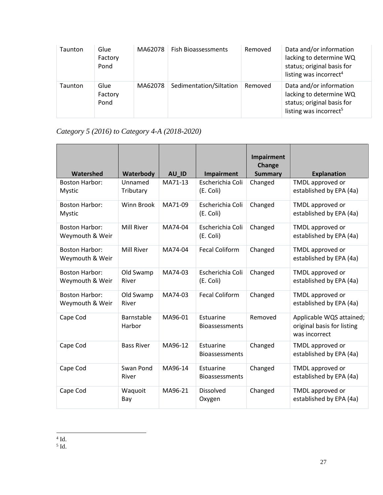| Taunton | Glue<br>Factory<br>Pond | MA62078 | <b>Fish Bioassessments</b> | Removed | Data and/or information<br>lacking to determine WQ<br>status; original basis for<br>listing was incorrect <sup>4</sup> |
|---------|-------------------------|---------|----------------------------|---------|------------------------------------------------------------------------------------------------------------------------|
| Taunton | Glue<br>Factory<br>Pond | MA62078 | Sedimentation/Siltation    | Removed | Data and/or information<br>lacking to determine WQ<br>status; original basis for<br>listing was incorrect <sup>5</sup> |

# *Category 5 (2016) to Category 4-A (2018-2020)*

| Watershed                                | Waterbody            | AU ID   | <b>Impairment</b>                  | Impairment<br>Change<br><b>Summary</b> | <b>Explanation</b>                                                      |
|------------------------------------------|----------------------|---------|------------------------------------|----------------------------------------|-------------------------------------------------------------------------|
| <b>Boston Harbor:</b><br><b>Mystic</b>   | Unnamed<br>Tributary | MA71-13 | Escherichia Coli<br>(E. Coli)      | Changed                                | TMDL approved or<br>established by EPA (4a)                             |
| <b>Boston Harbor:</b><br><b>Mystic</b>   | <b>Winn Brook</b>    | MA71-09 | Escherichia Coli<br>(E. Coli)      | Changed                                | TMDL approved or<br>established by EPA (4a)                             |
| <b>Boston Harbor:</b><br>Weymouth & Weir | <b>Mill River</b>    | MA74-04 | Escherichia Coli<br>(E. Coli)      | Changed                                | TMDL approved or<br>established by EPA (4a)                             |
| <b>Boston Harbor:</b><br>Weymouth & Weir | Mill River           | MA74-04 | <b>Fecal Coliform</b>              | Changed                                | TMDL approved or<br>established by EPA (4a)                             |
| <b>Boston Harbor:</b><br>Weymouth & Weir | Old Swamp<br>River   | MA74-03 | Escherichia Coli<br>(E. Coli)      | Changed                                | TMDL approved or<br>established by EPA (4a)                             |
| <b>Boston Harbor:</b><br>Weymouth & Weir | Old Swamp<br>River   | MA74-03 | <b>Fecal Coliform</b>              | Changed                                | TMDL approved or<br>established by EPA (4a)                             |
| Cape Cod                                 | Barnstable<br>Harbor | MA96-01 | Estuarine<br><b>Bioassessments</b> | Removed                                | Applicable WQS attained;<br>original basis for listing<br>was incorrect |
| Cape Cod                                 | <b>Bass River</b>    | MA96-12 | Estuarine<br><b>Bioassessments</b> | Changed                                | TMDL approved or<br>established by EPA (4a)                             |
| Cape Cod                                 | Swan Pond<br>River   | MA96-14 | Estuarine<br><b>Bioassessments</b> | Changed                                | TMDL approved or<br>established by EPA (4a)                             |
| Cape Cod                                 | Waquoit<br>Bay       | MA96-21 | Dissolved<br>Oxygen                | Changed                                | TMDL approved or<br>established by EPA (4a)                             |

 $^4$  Id.<br> $^5$  Id.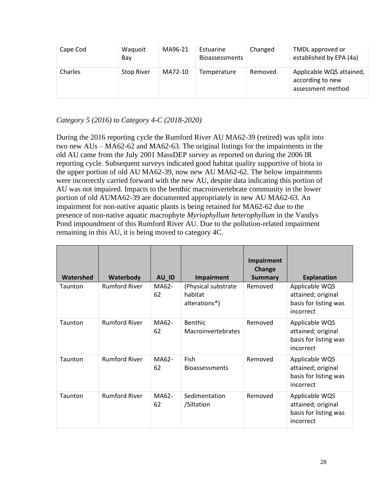| Cape Cod | Waquoit<br>Bay    | MA96-21 | Estuarine<br><b>Bioassessments</b> | Changed | TMDL approved or<br>established by EPA (4a)                       |
|----------|-------------------|---------|------------------------------------|---------|-------------------------------------------------------------------|
| Charles  | <b>Stop River</b> | MA72-10 | Temperature                        | Removed | Applicable WQS attained,<br>according to new<br>assessment method |

### *Category 5 (2016) to Category 4-C (2018-2020)*

During the 2016 reporting cycle the Rumford River AU MA62-39 (retired) was split into two new AUs – MA62-62 and MA62-63. The original listings for the impairments in the old AU came from the July 2001 MassDEP survey as reported on during the 2006 IR reporting cycle. Subsequent surveys indicated good habitat quality supportive of biota in the upper portion of old AU MA62-39, now new AU MA62-62. The below impairments were incorrectly carried forward with the new AU, despite data indicating this portion of AU was not impaired. Impacts to the benthic macroinvertebrate community in the lower portion of old AUMA62-39 are documented appropriately in new AU MA62-63. An impairment for non-native aquatic plants is being retained for MA62-62 due to the presence of non-native aquatic macrophyte *Myriophyllum heterophyllum* in the Vandys Pond impoundment of this Rumford River AU. Due to the pollution-related impairment remaining in this AU, it is being moved to category 4C.

| Watershed | Waterbody            | AU_ID       | Impairment                                      | Impairment<br>Change<br><b>Summary</b> | <b>Explanation</b>                                                         |
|-----------|----------------------|-------------|-------------------------------------------------|----------------------------------------|----------------------------------------------------------------------------|
| Taunton   | <b>Rumford River</b> | MA62-<br>62 | (Physical substrate<br>habitat<br>alterations*) | Removed                                | Applicable WQS<br>attained; original<br>basis for listing was<br>incorrect |
| Taunton   | <b>Rumford River</b> | MA62-<br>62 | Benthic<br><b>Macroinvertebrates</b>            | Removed                                | Applicable WQS<br>attained; original<br>basis for listing was<br>incorrect |
| Taunton   | <b>Rumford River</b> | MA62-<br>62 | <b>Fish</b><br><b>Bioassessments</b>            | Removed                                | Applicable WQS<br>attained; original<br>basis for listing was<br>incorrect |
| Taunton   | <b>Rumford River</b> | MA62-<br>62 | Sedimentation<br>/Siltation                     | Removed                                | Applicable WQS<br>attained; original<br>basis for listing was<br>incorrect |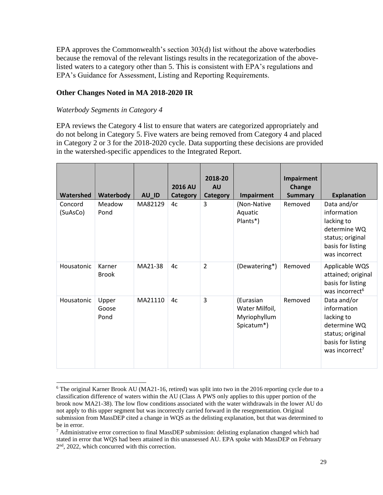EPA approves the Commonwealth's section 303(d) list without the above waterbodies because the removal of the relevant listings results in the recategorization of the abovelisted waters to a category other than 5. This is consistent with EPA's regulations and EPA's Guidance for Assessment, Listing and Reporting Requirements.

#### **Other Changes Noted in MA 2018-2020 IR**

#### *Waterbody Segments in Category 4*

EPA reviews the Category 4 list to ensure that waters are categorized appropriately and do not belong in Category 5. Five waters are being removed from Category 4 and placed in Category 2 or 3 for the 2018-2020 cycle. Data supporting these decisions are provided in the watershed-specific appendices to the Integrated Report.

| Watershed           | Waterbody              | AU_ID   | <b>2016 AU</b><br><b>Category</b> | 2018-20<br><b>AU</b><br><b>Category</b> | <b>Impairment</b>                                         | <b>Impairment</b><br>Change<br><b>Summary</b> | <b>Explanation</b>                                                                                                              |
|---------------------|------------------------|---------|-----------------------------------|-----------------------------------------|-----------------------------------------------------------|-----------------------------------------------|---------------------------------------------------------------------------------------------------------------------------------|
| Concord<br>(SuAsCo) | Meadow<br>Pond         | MA82129 | 4c                                | 3                                       | (Non-Native<br>Aquatic<br>Plants*)                        | Removed                                       | Data and/or<br>information<br>lacking to<br>determine WQ<br>status; original<br>basis for listing<br>was incorrect              |
| Housatonic          | Karner<br><b>Brook</b> | MA21-38 | 4c                                | $\overline{2}$                          | (Dewatering*)                                             | Removed                                       | Applicable WQS<br>attained; original<br>basis for listing<br>was incorrect <sup>6</sup>                                         |
| Housatonic          | Upper<br>Goose<br>Pond | MA21110 | 4c                                | 3                                       | (Eurasian<br>Water Milfoil,<br>Myriophyllum<br>Spicatum*) | Removed                                       | Data and/or<br>information<br>lacking to<br>determine WQ<br>status; original<br>basis for listing<br>was incorrect <sup>7</sup> |

<sup>6</sup> The original Karner Brook AU (MA21-16, retired) was split into two in the 2016 reporting cycle due to a classification difference of waters within the AU (Class A PWS only applies to this upper portion of the brook now MA21-38). The low flow conditions associated with the water withdrawals in the lower AU do not apply to this upper segment but was incorrectly carried forward in the resegmentation. Original submission from MassDEP cited a change in WQS as the delisting explanation, but that was determined to be in error.

 $7$  Administrative error correction to final MassDEP submission: delisting explanation changed which had stated in error that WQS had been attained in this unassessed AU. EPA spoke with MassDEP on February 2<sup>nd</sup>, 2022, which concurred with this correction.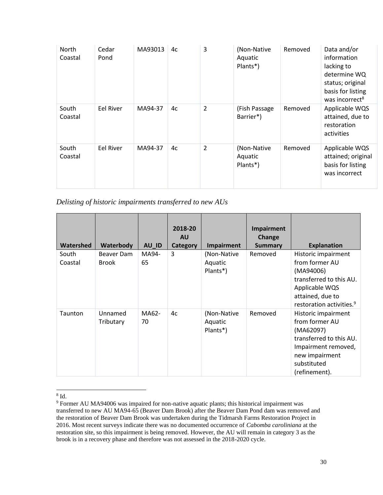| North<br>Coastal | Cedar<br>Pond | MA93013 | 4c | 3              | (Non-Native<br>Aquatic<br>Plants*) | Removed | Data and/or<br>information<br>lacking to<br>determine WQ<br>status; original<br>basis for listing<br>was incorrect <sup>8</sup> |
|------------------|---------------|---------|----|----------------|------------------------------------|---------|---------------------------------------------------------------------------------------------------------------------------------|
| South<br>Coastal | Eel River     | MA94-37 | 4c | $\overline{2}$ | (Fish Passage<br>Barrier*)         | Removed | Applicable WQS<br>attained, due to<br>restoration<br>activities                                                                 |
| South<br>Coastal | Eel River     | MA94-37 | 4c | $\overline{2}$ | (Non-Native<br>Aquatic<br>Plants*) | Removed | Applicable WQS<br>attained; original<br>basis for listing<br>was incorrect                                                      |

*Delisting of historic impairments transferred to new AUs*

| <b>Watershed</b> | Waterbody                  | AU_ID       | 2018-20<br><b>AU</b><br><b>Category</b> | Impairment                         | Impairment<br>Change<br><b>Summary</b> | <b>Explanation</b>                                                                                                                                          |
|------------------|----------------------------|-------------|-----------------------------------------|------------------------------------|----------------------------------------|-------------------------------------------------------------------------------------------------------------------------------------------------------------|
| South<br>Coastal | Beaver Dam<br><b>Brook</b> | MA94-<br>65 | 3                                       | (Non-Native<br>Aquatic<br>Plants*) | Removed                                | Historic impairment<br>from former AU<br>(MA94006)<br>transferred to this AU.<br>Applicable WQS<br>attained, due to<br>restoration activities. <sup>9</sup> |
| Taunton          | Unnamed<br>Tributary       | MA62-<br>70 | 4c                                      | (Non-Native<br>Aquatic<br>Plants*) | Removed                                | Historic impairment<br>from former AU<br>(MA62097)<br>transferred to this AU.<br>Impairment removed,<br>new impairment<br>substituted<br>(refinement).      |

8 Id.

<sup>&</sup>lt;sup>9</sup> Former AU MA94006 was impaired for non-native aquatic plants; this historical impairment was transferred to new AU MA94-65 (Beaver Dam Brook) after the Beaver Dam Pond dam was removed and the restoration of Beaver Dam Brook was undertaken during the Tidmarsh Farms Restoration Project in 2016. Most recent surveys indicate there was no documented occurrence of *Cabomba caroliniana* at the restoration site, so this impairment is being removed. However, the AU will remain in category 3 as the brook is in a recovery phase and therefore was not assessed in the 2018-2020 cycle.